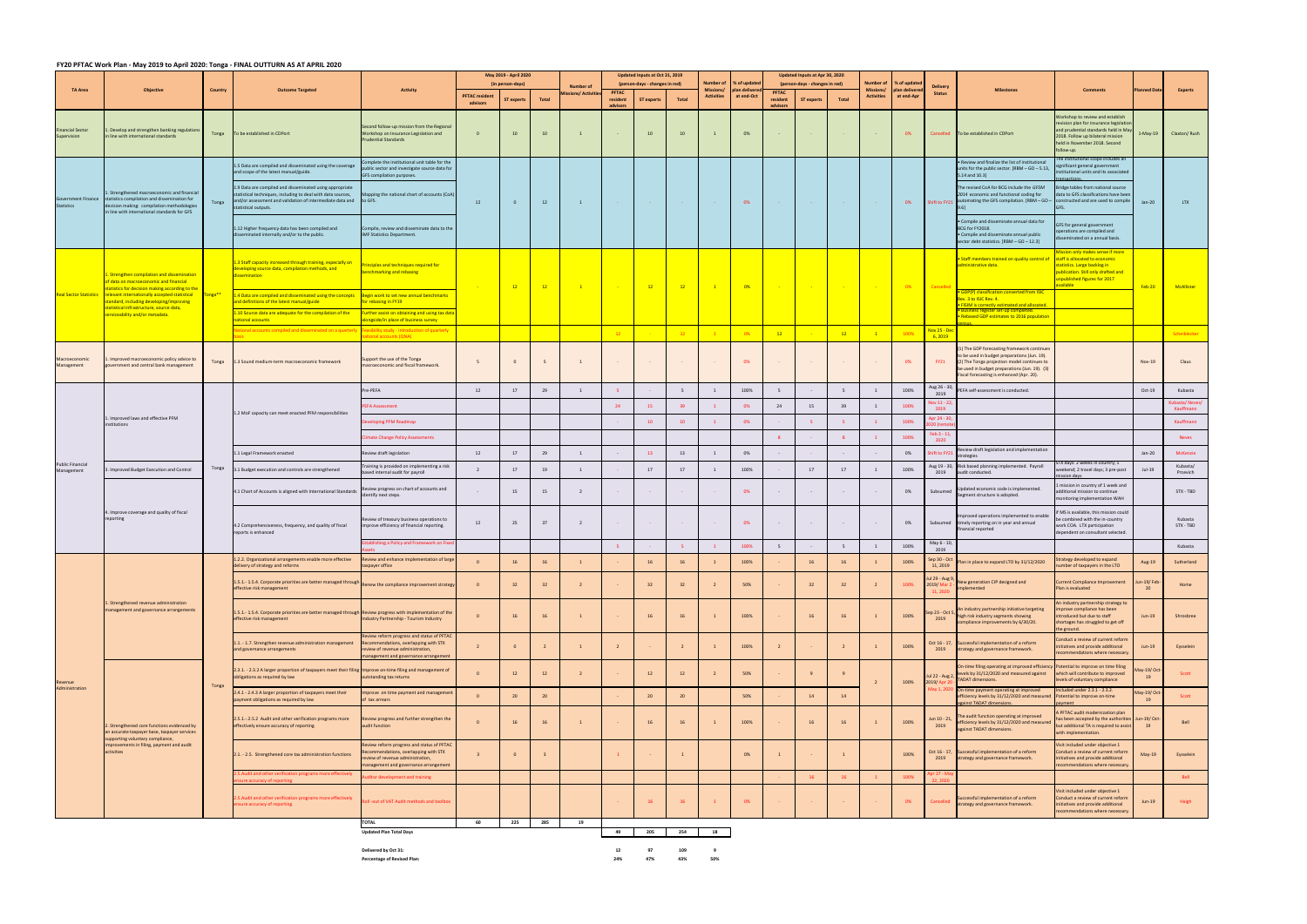## FY20 PFTAC Work Plan - May 2019 to April 2020: Tonga - FINAL OUTTURN AS AT APRIL 2020

| <b>Number of</b><br>% of updated<br>Number of<br>% of updated<br>(in person-days)<br>(person-days - changes in red)<br>(person-days - changes in red)<br><b>Number of</b><br><b>Delivery</b><br><b>TA Area</b><br><b>Objective</b><br>Country<br><b>Outcome Targeted</b><br><b>Activity</b><br>Missions/<br>an deliver<br><b>Missions</b><br>plan deliver<br><b>Milestones</b><br><b>PFTAC</b><br><b>PFTAC</b><br>ions/ Activit<br><b>Status</b><br><b>PFTAC resident</b><br><b>Activities</b><br>at end-Oct<br><b>Activities</b><br>at end-Apr<br>Total<br>resident<br><b>ST experts</b><br>Total<br>resident<br><b>ST experts</b><br><b>Total</b><br><b>ST</b> experts<br>advisors<br>advisors<br>advisors<br>econd follow-up mission from the Regional<br>inancial Sector<br>Develop and strengthen banking regulation<br>$\overline{\mathbf{0}}$<br>$\overline{1}$<br>0%<br>Tonga<br>To be established in CDPort<br>Vorkshop on Insurance Legislation and<br>10<br>10<br>10<br>10<br>0%<br>Cancelled<br>To be established in CDPort<br>$\sim$ $\sim$<br>supervision<br>n line with international standards<br>udential Standards<br>omplete the institutional unit table for the<br>. Review and finalize the list of institutional | <b>Comments</b><br>/orkshop to review and establish<br>evision plan for insurance legislatior<br>and prudential standards held in May<br>018. Follow up bilateral mission<br>held in November 2018. Second<br>ollow-up.<br>nstitutional scope includes all<br>gnificant general government | $1-May-19$ | lanned Da                    | <b>Experts</b>              |
|-----------------------------------------------------------------------------------------------------------------------------------------------------------------------------------------------------------------------------------------------------------------------------------------------------------------------------------------------------------------------------------------------------------------------------------------------------------------------------------------------------------------------------------------------------------------------------------------------------------------------------------------------------------------------------------------------------------------------------------------------------------------------------------------------------------------------------------------------------------------------------------------------------------------------------------------------------------------------------------------------------------------------------------------------------------------------------------------------------------------------------------------------------------------------------------------------------------------------------------------|--------------------------------------------------------------------------------------------------------------------------------------------------------------------------------------------------------------------------------------------------------------------------------------------|------------|------------------------------|-----------------------------|
|                                                                                                                                                                                                                                                                                                                                                                                                                                                                                                                                                                                                                                                                                                                                                                                                                                                                                                                                                                                                                                                                                                                                                                                                                                         |                                                                                                                                                                                                                                                                                            |            |                              |                             |
|                                                                                                                                                                                                                                                                                                                                                                                                                                                                                                                                                                                                                                                                                                                                                                                                                                                                                                                                                                                                                                                                                                                                                                                                                                         |                                                                                                                                                                                                                                                                                            |            |                              |                             |
|                                                                                                                                                                                                                                                                                                                                                                                                                                                                                                                                                                                                                                                                                                                                                                                                                                                                                                                                                                                                                                                                                                                                                                                                                                         |                                                                                                                                                                                                                                                                                            |            |                              | Claxton/Rush                |
| L.5 Data are compiled and disseminated using the coverage<br>ublic sector and investigate source data for<br>units for the public sector. [RBM - GO - 5.13,<br>and scope of the latest manual/guide.<br>GFS compilation purposes.<br>5.14 and 10.3]                                                                                                                                                                                                                                                                                                                                                                                                                                                                                                                                                                                                                                                                                                                                                                                                                                                                                                                                                                                     | stitutional units and its associated                                                                                                                                                                                                                                                       |            |                              |                             |
| The revised CoA for BCG include the GFSM<br>1.9 Data are compiled and disseminated using appropriate<br>. Strengthened macroeconomic and financial<br>statistical techniques, including to deal with data sources,<br>lapping the national chart of accounts (CoA)<br>2014 economic and functional coding for<br>Government Finance statistics compilation and dissemination for<br>and/or assessment and validation of intermediate data and to GFS.<br>Shift to FY21 automating the GFS compilation. [RBM - GO - constructed and are used to compile<br>Tonga<br>12<br>$\mathbf{1}$<br>$0\%$<br>$\mathbf{0}$<br><b>12</b><br>0%<br><b>Contract</b><br><b>Contract</b><br><b>Contract</b><br><b>Carlos</b><br><b>Contract</b><br>decision making: compilation methodologies<br><b>Statistics</b><br>statistical outputs.<br>in line with international standards for GFS                                                                                                                                                                                                                                                                                                                                                               | idge tables from national source<br>data to GFS classifications have been                                                                                                                                                                                                                  |            | $Jan-20$                     | LTX                         |
| · Compile and disseminate annual data for<br>1.12 Higher frequency data has been compiled and<br>ompile, review and disseminate data to the<br>BCG for FY2018.<br>isseminated internally and/or to the public.<br>IMF Statistics Department.<br>· Compile and disseminate annual public<br>sector debt statistics. [RBM - GO - 12.3]                                                                                                                                                                                                                                                                                                                                                                                                                                                                                                                                                                                                                                                                                                                                                                                                                                                                                                    | FS for general government<br>perations are compiled and<br>seminated on a annual basis.                                                                                                                                                                                                    |            |                              |                             |
| Staff members trained on quality control of<br>1.3 Staff capacity increased through training, especially on<br>inciples and techniques required for<br>administrative data.<br>developing source data, compilation methods, and<br>enchmarking and rebasing<br><b>Strengthen compilation and dissemination</b><br><i><b>issemination</b></i><br>data on macroeconomic and financial<br>$-0%$<br>12<br>12<br>$\blacksquare$<br>12<br>12<br>$-0%$<br><b>Contract</b><br><b>Contract</b><br>Cancelle                                                                                                                                                                                                                                                                                                                                                                                                                                                                                                                                                                                                                                                                                                                                       | ission only makes sense if more<br>staff is allocated to economic<br>statistics. Large backlog in<br><b>ublication. Still only drafted and</b><br>unpublished figures for 2017<br>vailable                                                                                                 |            | <b>Feb-20</b>                | McAllister                  |
| atistics for decision making according to the<br>GDP(P) classification converted from ISIC<br>Real Sector Statistics relevant internationally accepted statistical<br>"onga**<br>L.4 Data are compiled and disseminated using the concepts <b>Begin work to set new annual benchmarks</b><br>Rev. 3 to ISIC Rev. 4.<br>tandard, including developing/improving<br>and definitions of the latest manual/guide<br>or rebasing in FY19<br><b>ISIM is correctly estimated and allocated.</b><br>tatistical infrastructure, source data,                                                                                                                                                                                                                                                                                                                                                                                                                                                                                                                                                                                                                                                                                                     |                                                                                                                                                                                                                                                                                            |            |                              |                             |
| <u>Business register set-up completed</u><br>1.10 Source data are adequate for the compilation of the<br>urther assist on obtaining and using tax data<br>erviceability and/or metadata.<br>Rebased GDP estimates to 2016 population<br>national accounts<br>ongside/in place of business survey                                                                                                                                                                                                                                                                                                                                                                                                                                                                                                                                                                                                                                                                                                                                                                                                                                                                                                                                        |                                                                                                                                                                                                                                                                                            |            |                              |                             |
| ational accounts compiled and disseminated on a quarterly<br><mark>Nov 25 - De</mark><br>easibility study - introduction of quarterly<br>12<br>$\overline{1}$<br>100%<br>12<br>12<br>12<br>0%<br>tional accounts (QNA)<br>6,2019                                                                                                                                                                                                                                                                                                                                                                                                                                                                                                                                                                                                                                                                                                                                                                                                                                                                                                                                                                                                        |                                                                                                                                                                                                                                                                                            |            |                              | Scheiblecker                |
| (1) The GDP forecasting framework continues<br>to be used in budget preparations (Jun. 19).<br>Macroeconomic<br>Support the use of the Tonga<br>. Improved macroeconomic policy advice to<br><b>FY21</b><br>(2) The Tonga projection model continues to<br>1.3 Sound medium-term macroeconomic framework<br>5<br>$\mathbf{1}$<br>0%<br>0%<br>Tonga<br>Management<br>government and central bank management<br>macroeconomic and fiscal framework.<br>be used in budget preparations (Jun. 19). (3)<br>Fiscal forecasting is enhanced (Apr. 20).                                                                                                                                                                                                                                                                                                                                                                                                                                                                                                                                                                                                                                                                                         |                                                                                                                                                                                                                                                                                            |            | <b>Nov-19</b>                | Claus                       |
| Aug 26 - 30<br>re-PEFA<br>29<br>100%<br>100%<br>12<br>17<br>$\overline{1}$<br>5<br>5<br>$\overline{1}$<br>PEFA self-assessment is conducted.<br>1<br>5<br>2019                                                                                                                                                                                                                                                                                                                                                                                                                                                                                                                                                                                                                                                                                                                                                                                                                                                                                                                                                                                                                                                                          |                                                                                                                                                                                                                                                                                            |            | $Oct-19$                     | Kubasta                     |
| lov 11 - 2 <mark>.</mark><br>39<br>100%<br>24<br>24<br>15<br>$\overline{1}$<br><b>EFA Assessment</b><br>15<br>39<br>0%<br>2019                                                                                                                                                                                                                                                                                                                                                                                                                                                                                                                                                                                                                                                                                                                                                                                                                                                                                                                                                                                                                                                                                                          |                                                                                                                                                                                                                                                                                            |            |                              | (ubasta/Neves)<br>Kauffmann |
| 1.2 MoF capacity can meet enacted PFM responsibilities<br>1. Improved laws and effective PFM<br>Apr 24 - 3<br>$\sim$ 1<br>100%<br>eloping PFM Roadmap<br>10<br>10<br>0%<br>institutions                                                                                                                                                                                                                                                                                                                                                                                                                                                                                                                                                                                                                                                                                                                                                                                                                                                                                                                                                                                                                                                 |                                                                                                                                                                                                                                                                                            |            |                              | Kauffmann                   |
| Feb 3 - 11,<br>$\vert 1 \vert$<br>100%<br>imate Change Policy Assessments<br>-8<br>2020                                                                                                                                                                                                                                                                                                                                                                                                                                                                                                                                                                                                                                                                                                                                                                                                                                                                                                                                                                                                                                                                                                                                                 |                                                                                                                                                                                                                                                                                            |            |                              | <b>Neves</b>                |
| Review draft legislation and implementation<br>12<br>29<br>13<br>0%<br>hift to FY21<br>1.1 Legal Framework enacted<br>eview draft legislation<br>17<br>$\overline{1}$<br><b>13</b><br>0%<br>$\sim$<br>$\sim$<br>trategies                                                                                                                                                                                                                                                                                                                                                                                                                                                                                                                                                                                                                                                                                                                                                                                                                                                                                                                                                                                                               |                                                                                                                                                                                                                                                                                            |            | $Jan-20$                     | McKenzie                    |
| <b>Public Financial</b><br>Risk based planning implemented. Payroll<br>aining is provided on implementing a risk<br>Aug 19 - 30<br>Tonga<br>. Improved Budget Execution and Control<br>3.1 Budget execution and controls are strengthened<br>17<br>19<br><sup>1</sup><br>17<br>17<br>100%<br>17<br>17<br>100%<br>$\overline{2}$<br>$\overline{1}$<br><sup>1</sup><br>Management<br>ased internal audit for payroll<br>2019<br>audit conducted.                                                                                                                                                                                                                                                                                                                                                                                                                                                                                                                                                                                                                                                                                                                                                                                          | 'X days: 2 weeks in country; 1<br>eekend; 2 travel days; 3 pre-post                                                                                                                                                                                                                        |            | $Jul-19$                     | Kubasta/<br>Prcevich        |
| eview progress on chart of accounts and<br>Updated economic code is implemented.<br>4.1 Chart of Accounts is aligned with International Standards<br>$\overline{2}$<br>0%<br>Subsumed<br>15<br>15<br>0%<br>$\sim$<br>$\sim$<br>$\sim$<br>entify next steps.<br>Segment structure is adopted.                                                                                                                                                                                                                                                                                                                                                                                                                                                                                                                                                                                                                                                                                                                                                                                                                                                                                                                                            | nission in country of 1 week and<br>ditional mission to continue<br>onitoring implementation WAH                                                                                                                                                                                           |            |                              | STX - TBD                   |
| . Improve coverage and quality of fiscal<br>Improved operations implemented to enable<br>reporting<br>eview of treasury business operations to<br>12<br>$\overline{2}$<br>25<br>37<br>0%<br>0%<br>Subsumed timely reporting on in year and annual<br>$\sim$<br>$\sim$<br>$\sim$<br>4.2 Comprehensiveness, frequency, and quality of fiscal<br>improve efficiency of financial reporting.<br>financial reported<br>reports is enhanced                                                                                                                                                                                                                                                                                                                                                                                                                                                                                                                                                                                                                                                                                                                                                                                                   | MS is available, this mission could<br>e combined with the in-country<br>work COA. LTX participation<br>dependent on consultant selected.                                                                                                                                                  |            |                              | Kubasta<br>STX - TBD        |
| <b>Ilishing a Policy and Framework on Fixed</b><br>May 6 - 10<br>100%<br>5<br>$\overline{1}$<br>100%<br>$-5$<br>2019                                                                                                                                                                                                                                                                                                                                                                                                                                                                                                                                                                                                                                                                                                                                                                                                                                                                                                                                                                                                                                                                                                                    |                                                                                                                                                                                                                                                                                            |            |                              | Kubasta                     |
| 1.2.2. Organizational arrangements enable more effective Review and enhance implementation of large<br>Sep 30 - Oct<br>100%<br>100%<br>Plan in place to expand LTO by 31/12/2020<br>delivery of strategy and reforms<br>axpayer office<br>11, 2019                                                                                                                                                                                                                                                                                                                                                                                                                                                                                                                                                                                                                                                                                                                                                                                                                                                                                                                                                                                      | Strategy developed to expand<br>umber of taxpayers in the LTO                                                                                                                                                                                                                              |            | Aug-19                       | Sutherland                  |
| 9 Aug - Aug<br>New generation CIP designed and<br>1.5.1.- 1.5.4. Corporate priorities are better managed through<br>$\overline{2}$<br>50%<br>32<br>100%<br>2019/Mar 2<br>$\overline{\mathbf{0}}$<br>32<br>32<br>32<br>32<br>32<br>$\overline{2}$<br>Renew the compliance improvement strategy<br>effective risk management<br>nplemented<br>11, 2020                                                                                                                                                                                                                                                                                                                                                                                                                                                                                                                                                                                                                                                                                                                                                                                                                                                                                    | urrent Compliance Improvement<br>Plan is evaluated                                                                                                                                                                                                                                         |            | un-19/Feb<br>20 <sub>0</sub> | Home                        |
| . Strengthened revenue administration<br>An industry partnership initiative targeting<br>anagement and governance arrangements<br>1.5.1.-1.5.4. Corporate priorities are better managed through Review progress with implementation of the<br>Sep 23 - Oct 5, high risk industry segments showing<br>$\overline{0}$<br>$\overline{1}$<br>100%<br>16<br>16<br>100%<br>16<br>16<br>16<br>16<br>$\overline{1}$<br>ndustry Partnership - Tourism Industry<br>effective risk management<br>compliance improvements by 6/30/20.                                                                                                                                                                                                                                                                                                                                                                                                                                                                                                                                                                                                                                                                                                               | n industry partnership strategy to<br>prove compliance has been<br>troduced but due to staff<br>hortages has struggled to get off<br>the ground.                                                                                                                                           |            | Jun-19                       | Shrosbree                   |
| eview reform progress and status of PFTAC<br>1.1. - 1.7. Strengthen revenue administration management<br>commendations, overlapping with STX<br>Oct 16 - 17,<br>Successful implementation of a reform<br>$\overline{1}$<br>100%<br>100%<br>$\overline{2}$<br>$\mathbf{0}$<br>$\overline{2}$<br>$\overline{1}$<br>and governance arrangements<br>view of revenue administration,<br>2019<br>strategy and governance framework.<br>inagement and governance arrangement                                                                                                                                                                                                                                                                                                                                                                                                                                                                                                                                                                                                                                                                                                                                                                   | onduct a review of current reform<br>itiatives and provide additional<br>commendations where necessary                                                                                                                                                                                     |            | $Jun-19$                     | Eysselein                   |
| On-time filing operating at improved efficiency<br>2.3.1. - 2.3.2 A larger proportion of taxpayers meet their filing Improve on-time filing and management of<br>$\mathbf{0}$<br>12<br>12<br>2<br>12<br>12<br>50%<br>levels by 31/12/2020 and measured against<br>Jul 22 - Aug 2,<br>outstanding tax returns<br>bligations as required by law<br><b>TADAT dimensions.</b><br>100%<br>2019/Apr 2<br>$\overline{2}$<br>evenue                                                                                                                                                                                                                                                                                                                                                                                                                                                                                                                                                                                                                                                                                                                                                                                                             | otential to improve on time filing<br>hich will contribute to improved<br>evels of voluntary compliance                                                                                                                                                                                    |            | lay-19/Oct-<br>19            | Scott                       |
| Tonga<br>Administration<br>May 1, 202<br>On-time payment operating at improved<br>2.4.1 - 2.4.3 A larger proportion of taxpayers meet their<br>nprove on time payment and management<br>50%<br>$\mathbf{0}$<br>20<br>20<br>20<br>20<br>14<br>14<br>efficiency levels by 31/12/2020 and measured Potential to improve on-time<br>bayment obligations as required by law<br>tax arrears<br>gainst TADAT dimensions                                                                                                                                                                                                                                                                                                                                                                                                                                                                                                                                                                                                                                                                                                                                                                                                                        | cluded under 2.3.1 - 2.3.2.                                                                                                                                                                                                                                                                |            | Aay-19/Oct-<br>19            | Scott                       |
| The audit function operating at improved<br>lun 10 - 21,<br>2.5.1.-. 2.5.2 Audit and other verification programs more<br>eview progress and further strengthen the<br>$\overline{1}$<br>16<br>100%<br>16<br>100%<br>efficiency levels by 31/12/2020 and measured<br>$\mathbf{0}$<br>16<br>16<br>16<br>16<br>$\overline{1}$<br>!. Strengthened core functions evidenced by<br>effectively ensure accuracy of reporting<br>udit function<br>2019<br>against TADAT dimensions.<br>an accurate taxpayer base, taxpayer services<br>supporting voluntary compliance,                                                                                                                                                                                                                                                                                                                                                                                                                                                                                                                                                                                                                                                                         | PFTAC audit modernization plan<br>as been accepted by the authorities Jun-19/Oct-<br>It additional TA is required to assist<br>vith implementation.                                                                                                                                        |            | 19                           | Bell                        |
| improvements in filing, payment and audit<br>view reform progress and status of PFTAC<br>commendations, overlapping with STX<br>Oct 16 - 17,<br>Successful implementation of a reform<br>activities<br>100%<br>2.1. - 2.5. Strengthened core tax administration functions<br>$\mathbf{0}$<br>0%<br>$\mathbf{1}$<br>$\overline{\mathbf{3}}$<br>view of revenue administration,<br>2019<br>strategy and governance framework.<br>anagement and governance arrangement                                                                                                                                                                                                                                                                                                                                                                                                                                                                                                                                                                                                                                                                                                                                                                     | isit included under objective 1<br>onduct a review of current reform<br>itiatives and provide additional<br>commendations where necessary                                                                                                                                                  |            | $May-19$                     | Eysselein                   |
| Audit and other verification programs more effectively<br>100%<br>ditor development and training<br>16<br>16<br>$\overline{1}$<br>ire accuracy of reporting                                                                                                                                                                                                                                                                                                                                                                                                                                                                                                                                                                                                                                                                                                                                                                                                                                                                                                                                                                                                                                                                             |                                                                                                                                                                                                                                                                                            |            |                              | Bell                        |
| Successful implementation of a reform<br>5. Audit and other verification programs more effectively<br>Ill-out of VAT Audit methods and toolbox<br>Cancelled<br>0%<br>0%<br>sure accuracy of reporting<br>strategy and governance framework.                                                                                                                                                                                                                                                                                                                                                                                                                                                                                                                                                                                                                                                                                                                                                                                                                                                                                                                                                                                             | sit included under objective 1<br>onduct a review of current reform<br>itiatives and provide additional<br>ecommendations where necessary                                                                                                                                                  |            | $Jun-19$                     | Haigh                       |
| <b>TOTAL</b><br>60<br>225<br>285<br>19<br>205<br>254<br>49<br>18<br><b>Updated Plan Total Days</b>                                                                                                                                                                                                                                                                                                                                                                                                                                                                                                                                                                                                                                                                                                                                                                                                                                                                                                                                                                                                                                                                                                                                      |                                                                                                                                                                                                                                                                                            |            |                              |                             |

**Delivered by Oct 31:<br>Percentage of Revised Plan:** 

**by Oct 31: 12 97 109 9**

**Percentage of Revised Plan: 24% 47% 43% 50%**